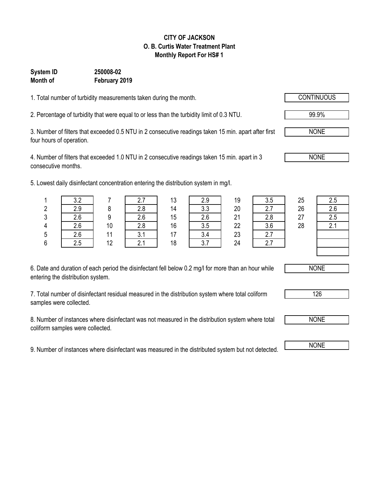#### **CITY OF JACKSON O. B. Curtis Water Treatment Plant Monthly Report For HS# 1**

#### **System ID 250008-02 Month of February 2019**

1. Total number of turbidity measurements taken during the month.

2. Percentage of turbidity that were equal to or less than the turbidity limit of 0.3 NTU.

3. Number of filters that exceeded 0.5 NTU in 2 consecutive readings taken 15 min. apart after first four hours of operation.

4. Number of filters that exceeded 1.0 NTU in 2 consecutive readings taken 15 min. apart in 3 consecutive months.

5. Lowest daily disinfectant concentration entering the distribution system in mg/l.

|   | າ າ |    |     | 13 | 2.9        | 19 | 3.5                     | 25 | 2.5 |
|---|-----|----|-----|----|------------|----|-------------------------|----|-----|
|   | 2.9 |    | 2.8 | 14 | २ २<br>v.v | 20 | 2.7                     | 26 | 2.6 |
| ີ | 2.6 |    | 2.6 | 15 | 2.6        | 21 | 2.8                     | 27 | 2.5 |
|   | 2.6 | 10 | 2.8 | 16 | 3.5        | 22 | 3.6                     | 28 | 2.1 |
|   | 2.6 | 11 | v.  | 17 |            | 23 | $\mathcal{L}$ .         |    |     |
|   | 2.5 | 12 |     | 18 | v.i        | 24 | $\mathsf{Z}.\mathsf{I}$ |    |     |

| 19 | 3                       |
|----|-------------------------|
| 20 | $\overline{\mathbf{r}}$ |
| 21 | $\overline{ }$          |
| 22 | ΣJ CΩ                   |
| 23 |                         |
| 24 | 2                       |
|    |                         |

6. Date and duration of each period the disinfectant fell below 0.2 mg/l for more than an hour while entering the distribution system.

7. Total number of disinfectant residual measured in the distribution system where total coliform samples were collected.

8. Number of instances where disinfectant was not measured in the distribution system where total coliform samples were collected.

9. Number of instances where disinfectant was measured in the distributed system but not detected. NONE



126

NONE

99.9%

NONE

NONE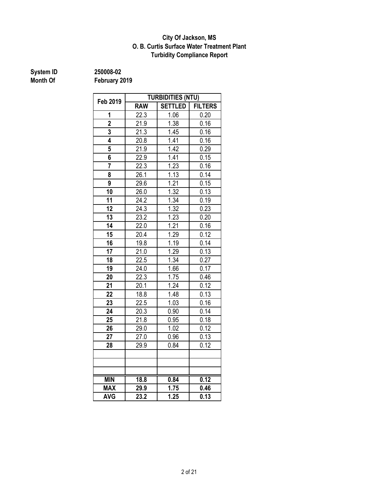#### **Turbidity Compliance Report O. B. Curtis Surface Water Treatment Plant City Of Jackson, MS**

### **System ID** 250008-02<br> **Month Of** February 2

| Feb 2019        | <b>TURBIDITIES (NTU)</b> |                |                |  |  |  |  |
|-----------------|--------------------------|----------------|----------------|--|--|--|--|
|                 | <b>RAW</b>               | <b>SETTLED</b> | <b>FILTERS</b> |  |  |  |  |
| 1               | 22.3                     | 1.06           | 0.20           |  |  |  |  |
| $\overline{2}$  | 21.9                     | 1.38           | 0.16           |  |  |  |  |
| 3               | 21.3                     | 1.45           | 0.16           |  |  |  |  |
| 4               | 20.8                     | 1.41           | 0.16           |  |  |  |  |
| 5               | 21.9                     | 1.42           | 0.29           |  |  |  |  |
| 6               | 22.9                     | 1.41           | 0.15           |  |  |  |  |
| $\overline{7}$  | 22.3                     | 1.23           | 0.16           |  |  |  |  |
| 8               | 26.1                     | 1.13           | 0.14           |  |  |  |  |
| 9               | 29.6                     | 1.21           | 0.15           |  |  |  |  |
| 10              | 26.0                     | 1.32           | 0.13           |  |  |  |  |
| 11              | 24.2                     | 1.34           | 0.19           |  |  |  |  |
| 12              | 24.3                     | 1.32           | 0.23           |  |  |  |  |
| 13              | 23.2                     | 1.23           | 0.20           |  |  |  |  |
| $\overline{14}$ | 22.0                     | 1.21           | 0.16           |  |  |  |  |
| 15              | 20.4                     | 1.29           | 0.12           |  |  |  |  |
| 16              | 19.8                     | 1.19           | 0.14           |  |  |  |  |
| 17              | 21.0                     | 1.29           | 0.13           |  |  |  |  |
| 18              | 22.5                     | 1.34           | 0.27           |  |  |  |  |
| 19              | 24.0                     | 1.66           | 0.17           |  |  |  |  |
| 20              | 22.3                     | 1.75           | 0.46           |  |  |  |  |
| 21              | 20.1                     | 1.24           | 0.12           |  |  |  |  |
| 22              | 18.8                     | 1.48           | 0.13           |  |  |  |  |
| 23              | 22.5                     | 1.03           | 0.16           |  |  |  |  |
| 24              | 20.3                     | 0.90           | 0.14           |  |  |  |  |
| 25              | 21.8                     | 0.95           | 0.18           |  |  |  |  |
| 26              | 29.0                     | 1.02           | 0.12           |  |  |  |  |
| 27              | 27.0                     | 0.96           | 0.13           |  |  |  |  |
| 28              | 29.9                     | 0.84           | 0.12           |  |  |  |  |
|                 |                          |                |                |  |  |  |  |
|                 |                          |                |                |  |  |  |  |
|                 |                          |                |                |  |  |  |  |
| <b>MIN</b>      | 18.8                     | 0.84           | 0.12           |  |  |  |  |
| <b>MAX</b>      | 29.9                     | 1.75           | 0.46           |  |  |  |  |
| <b>AVG</b>      | 23.2                     | 1.25           | 0.13           |  |  |  |  |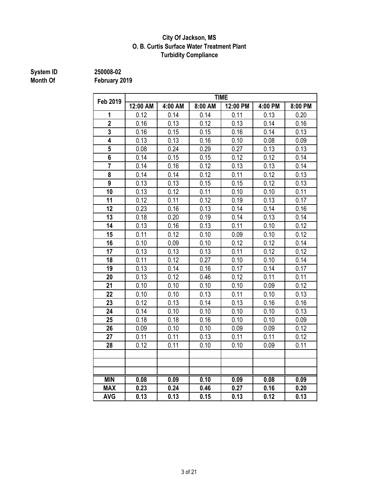#### **Turbidity Compliance City Of Jackson, MS O. B. Curtis Surface Water Treatment Plant**

### **System ID** 250008-02<br> **Month Of** February 2

| Feb 2019       | <b>TIME</b> |         |         |          |         |         |  |  |  |
|----------------|-------------|---------|---------|----------|---------|---------|--|--|--|
|                | 12:00 AM    | 4:00 AM | 8:00 AM | 12:00 PM | 4:00 PM | 8:00 PM |  |  |  |
| 1              | 0.12        | 0.14    | 0.14    | 0.11     | 0.13    | 0.20    |  |  |  |
| $\overline{2}$ | 0.16        | 0.13    | 0.12    | 0.13     | 0.14    | 0.16    |  |  |  |
| 3              | 0.16        | 0.15    | 0.15    | 0.16     | 0.14    | 0.13    |  |  |  |
| 4              | 0.13        | 0.13    | 0.16    | 0.10     | 0.08    | 0.09    |  |  |  |
| 5              | 0.08        | 0.24    | 0.29    | 0.27     | 0.13    | 0.13    |  |  |  |
| 6              | 0.14        | 0.15    | 0.15    | 0.12     | 0.12    | 0.14    |  |  |  |
| $\overline{7}$ | 0.14        | 0.16    | 0.12    | 0.13     | 0.13    | 0.14    |  |  |  |
| 8              | 0.14        | 0.14    | 0.12    | 0.11     | 0.12    | 0.13    |  |  |  |
| 9              | 0.13        | 0.13    | 0.15    | 0.15     | 0.12    | 0.13    |  |  |  |
| 10             | 0.13        | 0.12    | 0.11    | 0.10     | 0.10    | 0.11    |  |  |  |
| 11             | 0.12        | 0.11    | 0.12    | 0.19     | 0.13    | 0.17    |  |  |  |
| 12             | 0.23        | 0.16    | 0.13    | 0.14     | 0.14    | 0.16    |  |  |  |
| 13             | 0.18        | 0.20    | 0.19    | 0.14     | 0.13    | 0.14    |  |  |  |
| 14             | 0.13        | 0.16    | 0.13    | 0.11     | 0.10    | 0.12    |  |  |  |
| 15             | 0.11        | 0.12    | 0.10    | 0.09     | 0.10    | 0.12    |  |  |  |
| 16             | 0.10        | 0.09    | 0.10    | 0.12     | 0.12    | 0.14    |  |  |  |
| 17             | 0.13        | 0.13    | 0.13    | 0.11     | 0.12    | 0.12    |  |  |  |
| 18             | 0.11        | 0.12    | 0.27    | 0.10     | 0.10    | 0.14    |  |  |  |
| 19             | 0.13        | 0.14    | 0.16    | 0.17     | 0.14    | 0.17    |  |  |  |
| 20             | 0.13        | 0.12    | 0.46    | 0.12     | 0.11    | 0.11    |  |  |  |
| 21             | 0.10        | 0.10    | 0.10    | 0.10     | 0.09    | 0.12    |  |  |  |
| 22             | 0.10        | 0.10    | 0.13    | 0.11     | 0.10    | 0.13    |  |  |  |
| 23             | 0.12        | 0.13    | 0.14    | 0.13     | 0.16    | 0.16    |  |  |  |
| 24             | 0.14        | 0.10    | 0.10    | 0.10     | 0.10    | 0.13    |  |  |  |
| 25             | 0.18        | 0.18    | 0.16    | 0.10     | 0.10    | 0.09    |  |  |  |
| 26             | 0.09        | 0.10    | 0.10    | 0.09     | 0.09    | 0.12    |  |  |  |
| 27             | 0.11        | 0.11    | 0.13    | 0.11     | 0.11    | 0.12    |  |  |  |
| 28             | 0.12        | 0.11    | 0.10    | 0.10     | 0.09    | 0.11    |  |  |  |
|                |             |         |         |          |         |         |  |  |  |
|                |             |         |         |          |         |         |  |  |  |
|                |             |         |         |          |         |         |  |  |  |
| <b>MIN</b>     | 0.08        | 0.09    | 0.10    | 0.09     | 0.08    | 0.09    |  |  |  |
| <b>MAX</b>     | 0.23        | 0.24    | 0.46    | 0.27     | 0.16    | 0.20    |  |  |  |
| <b>AVG</b>     | 0.13        | 0.13    | 0.15    | 0.13     | 0.12    | 0.13    |  |  |  |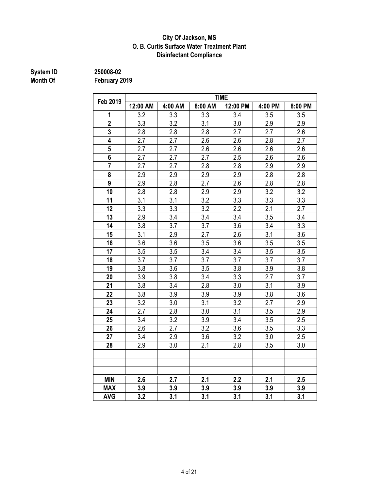#### **City Of Jackson, MS O. B. Curtis Surface Water Treatment Plant Disinfectant Compliance**

### **System ID** 250008-02<br> **Month Of** February 2

| Feb 2019       | <b>TIME</b> |         |         |          |         |                  |  |  |  |  |
|----------------|-------------|---------|---------|----------|---------|------------------|--|--|--|--|
|                | 12:00 AM    | 4:00 AM | 8:00 AM | 12:00 PM | 4:00 PM | 8:00 PM          |  |  |  |  |
| 1              | 3.2         | 3.3     | 3.3     | 3.4      | 3.5     | 3.5              |  |  |  |  |
| $\overline{2}$ | 3.3         | 3.2     | 3.1     | 3.0      | 2.9     | 2.9              |  |  |  |  |
| 3              | 2.8         | 2.8     | 2.8     | 2.7      | 2.7     | 2.6              |  |  |  |  |
| 4              | 2.7         | 2.7     | 2.6     | 2.6      | 2.8     | 2.7              |  |  |  |  |
| 5              | 2.7         | 2.7     | 2.6     | 2.6      | 2.6     | 2.6              |  |  |  |  |
| 6              | 2.7         | 2.7     | 2.7     | 2.5      | 2.6     | 2.6              |  |  |  |  |
| $\overline{7}$ | 2.7         | 2.7     | 2.8     | 2.8      | 2.9     | 2.9              |  |  |  |  |
| 8              | 2.9         | 2.9     | 2.9     | 2.9      | 2.8     | 2.8              |  |  |  |  |
| 9              | 2.9         | 2.8     | 2.7     | 2.6      | 2.8     | 2.8              |  |  |  |  |
| 10             | 2.8         | 2.8     | 2.9     | 2.9      | 3.2     | 3.2              |  |  |  |  |
| 11             | 3.1         | 3.1     | 3.2     | 3.3      | 3.3     | 3.3              |  |  |  |  |
| 12             | 3.3         | 3.3     | 3.2     | 2.2      | 2.1     | 2.7              |  |  |  |  |
| 13             | 2.9         | 3.4     | 3.4     | 3.4      | 3.5     | 3.4              |  |  |  |  |
| 14             | 3.8         | 3.7     | 3.7     | 3.6      | 3.4     | 3.3              |  |  |  |  |
| 15             | 3.1         | 2.9     | 2.7     | 2.6      | 3.1     | 3.6              |  |  |  |  |
| 16             | 3.6         | 3.6     | 3.5     | 3.6      | 3.5     | 3.5              |  |  |  |  |
| 17             | 3.5         | 3.5     | 3.4     | 3.4      | 3.5     | 3.5              |  |  |  |  |
| 18             | 3.7         | 3.7     | 3.7     | 3.7      | 3.7     | 3.7              |  |  |  |  |
| 19             | 3.8         | 3.6     | 3.5     | 3.8      | 3.9     | 3.8              |  |  |  |  |
| 20             | 3.9         | 3.8     | 3.4     | 3.3      | 2.7     | 3.7              |  |  |  |  |
| 21             | 3.8         | 3.4     | 2.8     | 3.0      | 3.1     | 3.9              |  |  |  |  |
| 22             | 3.8         | 3.9     | 3.9     | 3.9      | 3.8     | 3.6              |  |  |  |  |
| 23             | 3.2         | 3.0     | 3.1     | 3.2      | 2.7     | 2.9              |  |  |  |  |
| 24             | 2.7         | 2.8     | 3.0     | 3.1      | 3.5     | 2.9              |  |  |  |  |
| 25             | 3.4         | 3.2     | 3.9     | 3.4      | 3.5     | 2.5              |  |  |  |  |
| 26             | 2.6         | 2.7     | 3.2     | 3.6      | 3.5     | 3.3              |  |  |  |  |
| 27             | 3.4         | 2.9     | 3.6     | 3.2      | 3.0     | 2.5              |  |  |  |  |
| 28             | 2.9         | 3.0     | 2.1     | 2.8      | 3.5     | 3.0              |  |  |  |  |
|                |             |         |         |          |         |                  |  |  |  |  |
|                |             |         |         |          |         |                  |  |  |  |  |
|                |             |         |         |          |         |                  |  |  |  |  |
| <b>MIN</b>     | 2.6         | 2.7     | 2.1     | 2.2      | 2.1     | $\overline{2.5}$ |  |  |  |  |
| <b>MAX</b>     | 3.9         | 3.9     | 3.9     | 3.9      | 3.9     | 3.9              |  |  |  |  |
| <b>AVG</b>     | 3.2         | 3.1     | 3.1     | 3.1      | 3.1     | 3.1              |  |  |  |  |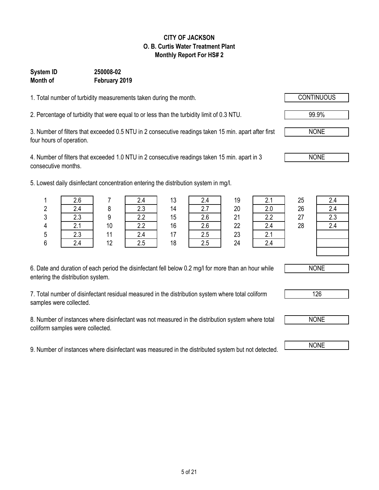### 5 of 21

#### **CITY OF JACKSON O. B. Curtis Water Treatment Plant Monthly Report For HS# 2**

#### **Month of February 2019 System ID 250008-02**

1. Total number of turbidity measurements taken during the month. CONTINUOUS

2. Percentage of turbidity that were equal to or less than the turbidity limit of 0.3 NTU. 99.9%

3. Number of filters that exceeded 0.5 NTU in 2 consecutive readings taken 15 min. apart after first four hours of operation.

4. Number of filters that exceeded 1.0 NTU in 2 consecutive readings taken 15 min. apart in 3 consecutive months.

5. Lowest daily disinfectant concentration entering the distribution system in

| 6. Date and duration of each period the disinfectant fell below 0.2 mg/l for more than an hour while |
|------------------------------------------------------------------------------------------------------|
| entering the distribution system.                                                                    |

6 | 2.4 | 12 | 2.5 | 18 | 2.5 | 24 | 2.4

7. Total number of disinfectant residual measured in the distribution system where total coliform samples were collected.

8. Number of instances where disinfectant was not measured in the distribution system where total coliform samples were collected.

9. Number of instances where disinfectant was measured in the distributed system but not detected.

|   | west daily disinfectant concentration entering the distribution system in mg/l. |    |     |    |     |    |    |    |     |
|---|---------------------------------------------------------------------------------|----|-----|----|-----|----|----|----|-----|
|   | 2.6                                                                             |    | 2.4 | 13 | 2.4 | 19 |    | 25 | 2.4 |
| 2 | 2.4                                                                             |    | 2.3 | 14 |     | 20 |    | 26 | 2.4 |
| 3 | 2.3                                                                             |    | 2.2 | 15 | 2.6 | 21 | っっ | 27 | 2.3 |
| 4 |                                                                                 | 10 | 2.2 | 16 |     | 22 |    | 28 | 2.4 |
| 5 | 2.3                                                                             |    | 24  |    |     | 23 |    |    |     |



126

NONE



NONE

NONE

NONE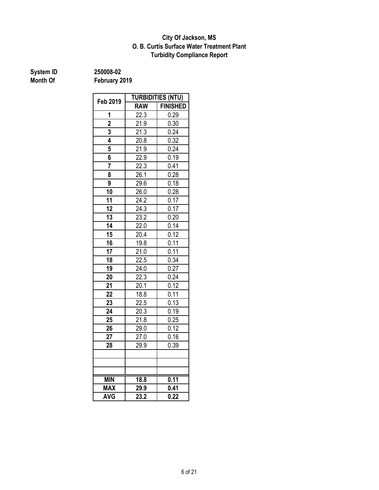#### **O. B. Curtis Surface Water Treatment Plant City Of Jackson, MS Turbidity Compliance Report**

**System ID** 250008-02<br> **Month Of** February 2

|                         | <b>TURBIDITIES (NTU)</b> |                   |  |  |  |
|-------------------------|--------------------------|-------------------|--|--|--|
| Feb 2019                | <b>RAW</b>               | <b>FINISHED</b>   |  |  |  |
| 1                       | $\overline{22.3}$        | 0.29              |  |  |  |
| $\overline{\mathbf{2}}$ | 21.9                     | 0.30              |  |  |  |
| 3                       | 21.3                     | 0.24              |  |  |  |
| 4                       | 20.8                     | 0.32              |  |  |  |
| 5                       | 21.9                     | 0.24              |  |  |  |
| 6                       | 22.9                     | 0.19              |  |  |  |
| 7                       | 22.3                     | 0.41              |  |  |  |
| 8                       | 26.1                     | 0.28              |  |  |  |
| 9                       | 29.6                     | 0.18              |  |  |  |
| 10                      | 26.0                     | 0.28              |  |  |  |
| 11                      | 24.2                     | 0.17              |  |  |  |
| 12                      | 24.3                     | 0.17              |  |  |  |
| 13                      | 23.2                     | 0.20              |  |  |  |
| 14                      | 22.0                     | 0.14              |  |  |  |
| 15                      | 20.4                     | 0.12              |  |  |  |
| 16                      | 19.8                     | 0.11              |  |  |  |
| 17                      | 21.0                     | 0.11              |  |  |  |
| 18                      | 22.5                     | 0.34              |  |  |  |
| $\overline{19}$         | 24.0                     | 0.27              |  |  |  |
| 20                      | 22.3                     | 0.24              |  |  |  |
| $2\overline{1}$         | 20.1                     | 0.12              |  |  |  |
| 22                      | 18.8                     | 0.11              |  |  |  |
| 23                      | 22.5                     | $0.1\overline{3}$ |  |  |  |
| 24                      | 20.3                     | 0.19              |  |  |  |
| 25                      | 21.8                     | 0.25              |  |  |  |
| 26                      | 29.0                     | 0.12              |  |  |  |
| 27                      | 27.0                     | 0.16              |  |  |  |
| 28                      | 29.9                     | 0.39              |  |  |  |
|                         |                          |                   |  |  |  |
|                         |                          |                   |  |  |  |
|                         |                          |                   |  |  |  |
| <b>MIN</b>              | 18.8                     | 0.11              |  |  |  |
| <b>MAX</b>              | 29.9                     | 0.41              |  |  |  |
| <b>AVG</b>              | $\overline{23.2}$        | 0.22              |  |  |  |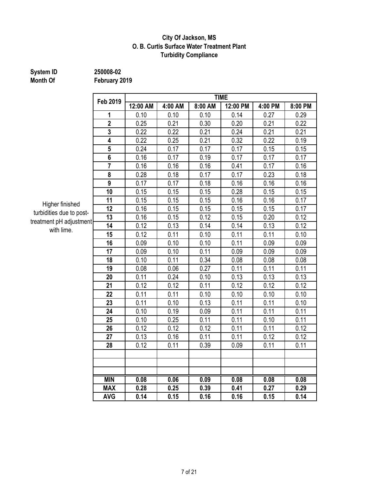#### **City Of Jackson, MS O. B. Curtis Surface Water Treatment Plant Turbidity Compliance**

### **System ID** 250008-02<br> **Month Of** February 2

**February 2019** 

|                         | <b>TIME</b> |         |         |          |         |         |  |  |  |  |
|-------------------------|-------------|---------|---------|----------|---------|---------|--|--|--|--|
| Feb 2019                | 12:00 AM    | 4:00 AM | 8:00 AM | 12:00 PM | 4:00 PM | 8:00 PM |  |  |  |  |
| 1                       | 0.10        | 0.10    | 0.10    | 0.14     | 0.27    | 0.29    |  |  |  |  |
| $\overline{2}$          | 0.25        | 0.21    | 0.30    | 0.20     | 0.21    | 0.22    |  |  |  |  |
| $\overline{\mathbf{3}}$ | 0.22        | 0.22    | 0.21    | 0.24     | 0.21    | 0.21    |  |  |  |  |
| 4                       | 0.22        | 0.25    | 0.21    | 0.32     | 0.22    | 0.19    |  |  |  |  |
| 5                       | 0.24        | 0.17    | 0.17    | 0.17     | 0.15    | 0.15    |  |  |  |  |
| 6                       | 0.16        | 0.17    | 0.19    | 0.17     | 0.17    | 0.17    |  |  |  |  |
| $\overline{7}$          | 0.16        | 0.16    | 0.16    | 0.41     | 0.17    | 0.16    |  |  |  |  |
| 8                       | 0.28        | 0.18    | 0.17    | 0.17     | 0.23    | 0.18    |  |  |  |  |
| 9                       | 0.17        | 0.17    | 0.18    | 0.16     | 0.16    | 0.16    |  |  |  |  |
| 10                      | 0.15        | 0.15    | 0.15    | 0.28     | 0.15    | 0.15    |  |  |  |  |
| 11                      | 0.15        | 0.15    | 0.15    | 0.16     | 0.16    | 0.17    |  |  |  |  |
| 12                      | 0.16        | 0.15    | 0.15    | 0.15     | 0.15    | 0.17    |  |  |  |  |
| 13<br>ntl               | 0.16        | 0.15    | 0.12    | 0.15     | 0.20    | 0.12    |  |  |  |  |
| 14                      | 0.12        | 0.13    | 0.14    | 0.14     | 0.13    | 0.12    |  |  |  |  |
| 15                      | 0.12        | 0.11    | 0.10    | 0.11     | 0.11    | 0.10    |  |  |  |  |
| 16                      | 0.09        | 0.10    | 0.10    | 0.11     | 0.09    | 0.09    |  |  |  |  |
| 17                      | 0.09        | 0.10    | 0.11    | 0.09     | 0.09    | 0.09    |  |  |  |  |
| 18                      | 0.10        | 0.11    | 0.34    | 0.08     | 0.08    | 0.08    |  |  |  |  |
| 19                      | 0.08        | 0.06    | 0.27    | 0.11     | 0.11    | 0.11    |  |  |  |  |
| 20                      | 0.11        | 0.24    | 0.10    | 0.13     | 0.13    | 0.13    |  |  |  |  |
| 21                      | 0.12        | 0.12    | 0.11    | 0.12     | 0.12    | 0.12    |  |  |  |  |
| 22                      | 0.11        | 0.11    | 0.10    | 0.10     | 0.10    | 0.10    |  |  |  |  |
| 23                      | 0.11        | 0.10    | 0.13    | 0.11     | 0.11    | 0.10    |  |  |  |  |
| 24                      | 0.10        | 0.19    | 0.09    | 0.11     | 0.11    | 0.11    |  |  |  |  |
| 25                      | 0.10        | 0.25    | 0.11    | 0.11     | 0.10    | 0.11    |  |  |  |  |
| 26                      | 0.12        | 0.12    | 0.12    | 0.11     | 0.11    | 0.12    |  |  |  |  |
| 27                      | 0.13        | 0.16    | 0.11    | 0.11     | 0.12    | 0.12    |  |  |  |  |
| 28                      | 0.12        | 0.11    | 0.39    | 0.09     | 0.11    | 0.11    |  |  |  |  |
|                         |             |         |         |          |         |         |  |  |  |  |
|                         |             |         |         |          |         |         |  |  |  |  |
|                         |             |         |         |          |         |         |  |  |  |  |
| <b>MIN</b>              | 0.08        | 0.06    | 0.09    | 0.08     | 0.08    | 0.08    |  |  |  |  |
| <b>MAX</b>              | 0.28        | 0.25    | 0.39    | 0.41     | 0.27    | 0.29    |  |  |  |  |
| <b>AVG</b>              | 0.14        | 0.15    | 0.16    | 0.16     | 0.15    | 0.14    |  |  |  |  |

Higher finished turbidities due to posttreatment pH adjustment with lime.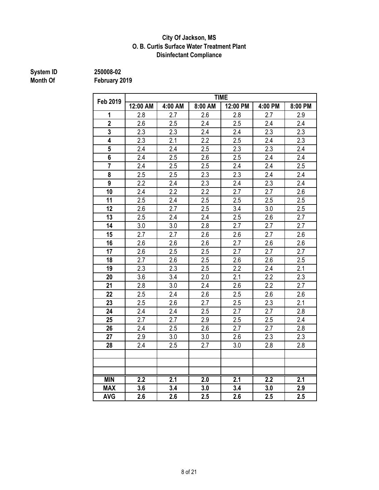#### **City Of Jackson, MS O. B. Curtis Surface Water Treatment Plant Disinfectant Compliance**

### **System ID** 250008-02<br> **Month Of** February 2

| <b>Feb 2019</b> | <b>TIME</b> |                  |         |                  |         |                  |  |  |  |
|-----------------|-------------|------------------|---------|------------------|---------|------------------|--|--|--|
|                 | 12:00 AM    | 4:00 AM          | 8:00 AM | 12:00 PM         | 4:00 PM | 8:00 PM          |  |  |  |
| 1               | 2.8         | 2.7              | 2.6     | 2.8              | 2.7     | 2.9              |  |  |  |
| $\overline{2}$  | 2.6         | 2.5              | 2.4     | 2.5              | 2.4     | 2.4              |  |  |  |
| 3               | 2.3         | 2.3              | 2.4     | 2.4              | 2.3     | 2.3              |  |  |  |
| 4               | 2.3         | 2.1              | 2.2     | 2.5              | 2.4     | 2.3              |  |  |  |
| 5               | 2.4         | 2.4              | 2.5     | 2.3              | 2.3     | 2.4              |  |  |  |
| 6               | 2.4         | 2.5              | 2.6     | 2.5              | 2.4     | 2.4              |  |  |  |
| $\overline{7}$  | 2.4         | 2.5              | 2.5     | 2.4              | 2.4     | 2.5              |  |  |  |
| 8               | 2.5         | 2.5              | 2.3     | 2.3              | 2.4     | 2.4              |  |  |  |
| 9               | 2.2         | 2.4              | 2.3     | 2.4              | 2.3     | 2.4              |  |  |  |
| 10              | 2.4         | 2.2              | 2.2     | 2.7              | 2.7     | 2.6              |  |  |  |
| 11              | 2.5         | 2.4              | 2.5     | 2.5              | 2.5     | 2.5              |  |  |  |
| 12              | 2.6         | 2.7              | 2.5     | 3.4              | 3.0     | 2.5              |  |  |  |
| 13              | 2.5         | 2.4              | 2.4     | 2.5              | 2.6     | 2.7              |  |  |  |
| 14              | 3.0         | 3.0              | 2.8     | 2.7              | 2.7     | 2.7              |  |  |  |
| 15              | 2.7         | 2.7              | 2.6     | 2.6              | 2.7     | 2.6              |  |  |  |
| 16              | 2.6         | 2.6              | 2.6     | 2.7              | 2.6     | 2.6              |  |  |  |
| 17              | 2.6         | 2.5              | 2.5     | 2.7              | 2.7     | 2.7              |  |  |  |
| 18              | 2.7         | 2.6              | 2.5     | 2.6              | 2.6     | 2.5              |  |  |  |
| 19              | 2.3         | $\overline{2.3}$ | 2.5     | $\overline{2.2}$ | 2.4     | 2.1              |  |  |  |
| 20              | 3.6         | 3.4              | 2.0     | 2.1              | 2.2     | 2.3              |  |  |  |
| 21              | 2.8         | 3.0              | 2.4     | 2.6              | 2.2     | 2.7              |  |  |  |
| 22              | 2.5         | 2.4              | 2.6     | 2.5              | 2.6     | 2.6              |  |  |  |
| 23              | 2.5         | 2.6              | 2.7     | 2.5              | 2.3     | $\overline{2.1}$ |  |  |  |
| 24              | 2.4         | 2.4              | 2.5     | 2.7              | 2.7     | 2.8              |  |  |  |
| 25              | 2.7         | 2.7              | 2.9     | 2.5              | 2.5     | 2.4              |  |  |  |
| 26              | 2.4         | 2.5              | 2.6     | 2.7              | 2.7     | 2.8              |  |  |  |
| 27              | 2.9         | 3.0              | 3.0     | 2.6              | 2.3     | 2.3              |  |  |  |
| 28              | 2.4         | 2.5              | 2.7     | 3.0              | 2.8     | 2.8              |  |  |  |
|                 |             |                  |         |                  |         |                  |  |  |  |
|                 |             |                  |         |                  |         |                  |  |  |  |
|                 |             |                  |         |                  |         |                  |  |  |  |
| <b>MIN</b>      | 2.2         | 2.1              | 2.0     | 2.1              | 2.2     | 2.1              |  |  |  |
| <b>MAX</b>      | 3.6         | 3.4              | 3.0     | 3.4              | 3.0     | 2.9              |  |  |  |
| <b>AVG</b>      | 2.6         | 2.6              | 2.5     | 2.6              | 2.5     | 2.5              |  |  |  |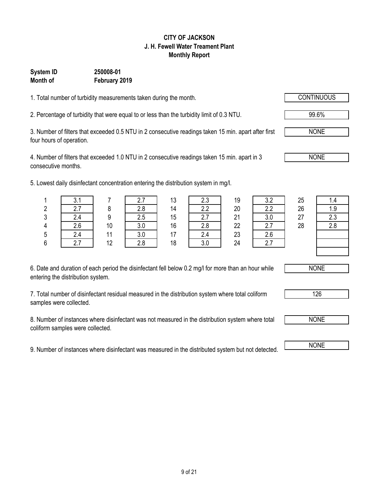## 9 of 21

#### **CITY OF JACKSON J. H. Fewell Water Treament Plant Monthly Report**

#### **System ID 250008-01 Month of February 2019**

1. Total number of turbidity measurements taken during the month.

2. Percentage of turbidity that were equal to or less than the turbidity limit of 0.3 NTU. 99.6%

3. Number of filters that exceeded 0.5 NTU in 2 consecutive readings taken 15 min. apart after first four hours of operation.

4. Number of filters that exceeded 1.0 NTU in 2 consecutive readings taken 15 min. apart in 3 consecutive months.

5. Lowest daily disinfectant concentration entering the distribution system in mg/l.

| 6. Date and duration of each period the disinfectant fell below 0.2 mg/l for more than an hour while |  |
|------------------------------------------------------------------------------------------------------|--|
| entering the distribution system.                                                                    |  |

7. Total number of disinfectant residual measured in the distribution system where total coliform samples were collected.

8. Number of instances where disinfectant was not measured in the distribution system where total coliform samples were collected.

9. Number of instances where disinfectant was measured in the distributed system but not detected. NONE

|   | west daily disinfectant concentration entering the distribution system in mg/l. |    |     |    |     |    |     |    |     |
|---|---------------------------------------------------------------------------------|----|-----|----|-----|----|-----|----|-----|
|   | 3.1                                                                             |    |     | 13 | 2.3 | 19 | 3.2 | 25 | 1.4 |
| 2 | 2.7                                                                             |    | 2.8 | 14 | 2.2 | 20 | 2.2 | 26 | 1.9 |
| 3 | 2.4                                                                             |    | 2.5 | 15 |     | 21 | 3.0 | 27 | 2.3 |
| 4 | 2.6                                                                             | 10 | 3.0 | 16 | 2.8 | 22 |     | 28 | 2.8 |
| 5 | 2.4                                                                             |    | 3.0 |    | 2.4 | 23 | 2.6 |    |     |
| 6 |                                                                                 | 12 | 2.8 | 18 | 3.0 | 24 |     |    |     |





NONE

126



NONE

NONE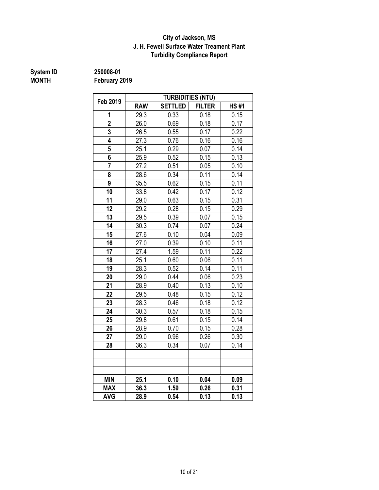#### **City of Jackson, MS J. H. Fewell Surface Water Treament Plant Turbidity Compliance Report**

**System ID 250008-01**

**MONTH February 2019**

| Feb 2019       |            |                | <b>TURBIDITIES (NTU)</b> |             |
|----------------|------------|----------------|--------------------------|-------------|
|                | <b>RAW</b> | <b>SETTLED</b> | <b>FILTER</b>            | <b>HS#1</b> |
| 1              | 29.3       | 0.33           | 0.18                     | 0.15        |
| $\overline{2}$ | 26.0       | 0.69           | 0.18                     | 0.17        |
| 3              | 26.5       | 0.55           | 0.17                     | 0.22        |
| 4              | 27.3       | 0.76           | 0.16                     | 0.16        |
| 5              | 25.1       | 0.29           | 0.07                     | 0.14        |
| 6              | 25.9       | 0.52           | 0.15                     | 0.13        |
| $\overline{7}$ | 27.2       | 0.51           | 0.05                     | 0.10        |
| 8              | 28.6       | 0.34           | 0.11                     | 0.14        |
| 9              | 35.5       | 0.62           | 0.15                     | 0.11        |
| 10             | 33.8       | 0.42           | 0.17                     | 0.12        |
| 11             | 29.0       | 0.63           | 0.15                     | 0.31        |
| 12             | 29.2       | 0.28           | 0.15                     | 0.29        |
| 13             | 29.5       | 0.39           | 0.07                     | 0.15        |
| 14             | 30.3       | 0.74           | 0.07                     | 0.24        |
| 15             | 27.6       | 0.10           | 0.04                     | 0.09        |
| 16             | 27.0       | 0.39           | 0.10                     | 0.11        |
| 17             | 27.4       | 1.59           | 0.11                     | 0.22        |
| 18             | 25.1       | 0.60           | 0.06                     | 0.11        |
| 19             | 28.3       | 0.52           | 0.14                     | 0.11        |
| 20             | 29.0       | 0.44           | 0.06                     | 0.23        |
| 21             | 28.9       | 0.40           | 0.13                     | 0.10        |
| 22             | 29.5       | 0.48           | 0.15                     | 0.12        |
| 23             | 28.3       | 0.46           | 0.18                     | 0.12        |
| 24             | 30.3       | 0.57           | 0.18                     | 0.15        |
| 25             | 29.8       | 0.61           | 0.15                     | 0.14        |
| 26             | 28.9       | 0.70           | 0.15                     | 0.28        |
| 27             | 29.0       | 0.96           | 0.26                     | 0.30        |
| 28             | 36.3       | 0.34           | 0.07                     | 0.14        |
|                |            |                |                          |             |
|                |            |                |                          |             |
|                |            |                |                          |             |
| <b>MIN</b>     | 25.1       | 0.10           | 0.04                     | 0.09        |
| <b>MAX</b>     | 36.3       | 1.59           | 0.26                     | 0.31        |
| <b>AVG</b>     | 28.9       | 0.54           | 0.13                     | 0.13        |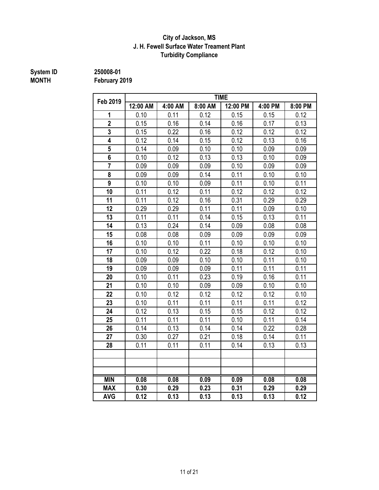#### **J. H. Fewell Surface Water Treament Plant Turbidity Compliance City of Jackson, MS**

### **System ID** 250008-01<br> **MONTH** February 2

| <b>Feb 2019</b>         |          |         |         | <b>TIME</b> |         |         |
|-------------------------|----------|---------|---------|-------------|---------|---------|
|                         | 12:00 AM | 4:00 AM | 8:00 AM | 12:00 PM    | 4:00 PM | 8:00 PM |
| 1                       | 0.10     | 0.11    | 0.12    | 0.15        | 0.15    | 0.12    |
| $\overline{\mathbf{2}}$ | 0.15     | 0.16    | 0.14    | 0.16        | 0.17    | 0.13    |
| 3                       | 0.15     | 0.22    | 0.16    | 0.12        | 0.12    | 0.12    |
| 4                       | 0.12     | 0.14    | 0.15    | 0.12        | 0.13    | 0.16    |
| 5                       | 0.14     | 0.09    | 0.10    | 0.10        | 0.09    | 0.09    |
| $6\phantom{a}$          | 0.10     | 0.12    | 0.13    | 0.13        | 0.10    | 0.09    |
| $\overline{7}$          | 0.09     | 0.09    | 0.09    | 0.10        | 0.09    | 0.09    |
| 8                       | 0.09     | 0.09    | 0.14    | 0.11        | 0.10    | 0.10    |
| 9                       | 0.10     | 0.10    | 0.09    | 0.11        | 0.10    | 0.11    |
| 10                      | 0.11     | 0.12    | 0.11    | 0.12        | 0.12    | 0.12    |
| 11                      | 0.11     | 0.12    | 0.16    | 0.31        | 0.29    | 0.29    |
| 12                      | 0.29     | 0.29    | 0.11    | 0.11        | 0.09    | 0.10    |
| 13                      | 0.11     | 0.11    | 0.14    | 0.15        | 0.13    | 0.11    |
| 14                      | 0.13     | 0.24    | 0.14    | 0.09        | 0.08    | 0.08    |
| 15                      | 0.08     | 0.08    | 0.09    | 0.09        | 0.09    | 0.09    |
| 16                      | 0.10     | 0.10    | 0.11    | 0.10        | 0.10    | 0.10    |
| 17                      | 0.10     | 0.12    | 0.22    | 0.18        | 0.12    | 0.10    |
| 18                      | 0.09     | 0.09    | 0.10    | 0.10        | 0.11    | 0.10    |
| 19                      | 0.09     | 0.09    | 0.09    | 0.11        | 0.11    | 0.11    |
| 20                      | 0.10     | 0.11    | 0.23    | 0.19        | 0.16    | 0.11    |
| 21                      | 0.10     | 0.10    | 0.09    | 0.09        | 0.10    | 0.10    |
| 22                      | 0.10     | 0.12    | 0.12    | 0.12        | 0.12    | 0.10    |
| 23                      | 0.10     | 0.11    | 0.11    | 0.11        | 0.11    | 0.12    |
| 24                      | 0.12     | 0.13    | 0.15    | 0.15        | 0.12    | 0.12    |
| 25                      | 0.11     | 0.11    | 0.11    | 0.10        | 0.11    | 0.14    |
| 26                      | 0.14     | 0.13    | 0.14    | 0.14        | 0.22    | 0.28    |
| 27                      | 0.30     | 0.27    | 0.21    | 0.18        | 0.14    | 0.11    |
| 28                      | 0.11     | 0.11    | 0.11    | 0.14        | 0.13    | 0.13    |
|                         |          |         |         |             |         |         |
|                         |          |         |         |             |         |         |
|                         |          |         |         |             |         |         |
| <b>MIN</b>              | 0.08     | 0.08    | 0.09    | 0.09        | 0.08    | 0.08    |
| <b>MAX</b>              | 0.30     | 0.29    | 0.23    | 0.31        | 0.29    | 0.29    |
| <b>AVG</b>              | 0.12     | 0.13    | 0.13    | 0.13        | 0.13    | 0.12    |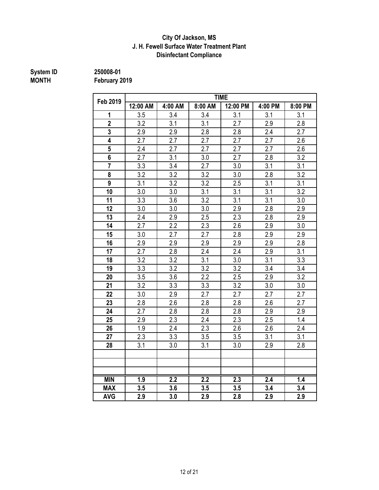#### **J. H. Fewell Surface Water Treatment Plant City Of Jackson, MS Disinfectant Compliance**

### **System ID** 250008-01<br> **MONTH** February 2

|                         |          |                  |                  | <b>TIME</b>      |                  |                  |
|-------------------------|----------|------------------|------------------|------------------|------------------|------------------|
| Feb 2019                | 12:00 AM | 4:00 AM          | 8:00 AM          | 12:00 PM         | 4:00 PM          | 8:00 PM          |
| 1                       | 3.5      | 3.4              | 3.4              | 3.1              | 3.1              | 3.1              |
| $\overline{2}$          | 3.2      | 3.1              | 3.1              | 2.7              | 2.9              | 2.8              |
| 3                       | 2.9      | 2.9              | 2.8              | 2.8              | 2.4              | 2.7              |
| 4                       | 2.7      | 2.7              | 2.7              | 2.7              | 2.7              | 2.6              |
| $5\overline{)}$         | 2.4      | 2.7              | 2.7              | 2.7              | 2.7              | 2.6              |
| $\overline{\mathbf{6}}$ | 2.7      | 3.1              | 3.0              | 2.7              | 2.8              | 3.2              |
| $\overline{7}$          | 3.3      | 3.4              | $\overline{2.7}$ | 3.0              | $\overline{3.1}$ | 3.1              |
| 8                       | 3.2      | 3.2              | 3.2              | 3.0              | 2.8              | 3.2              |
| $\overline{9}$          | 3.1      | 3.2              | $\overline{3.2}$ | 2.5              | 3.1              | 3.1              |
| 10                      | 3.0      | 3.0              | 3.1              | 3.1              | 3.1              | 3.2              |
| 11                      | 3.3      | 3.6              | 3.2              | 3.1              | 3.1              | 3.0              |
| 12                      | 3.0      | 3.0              | 3.0              | 2.9              | 2.8              | 2.9              |
| 13                      | 2.4      | 2.9              | 2.5              | 2.3              | 2.8              | 2.9              |
| 14                      | 2.7      | 2.2              | 2.3              | 2.6              | 2.9              | 3.0              |
| 15                      | 3.0      | 2.7              | 2.7              | 2.8              | 2.9              | 2.9              |
| 16                      | 2.9      | 2.9              | 2.9              | 2.9              | 2.9              | 2.8              |
| 17                      | 2.7      | 2.8              | 2.4              | 2.4              | 2.9              | 3.1              |
| 18                      | 3.2      | $\overline{3.2}$ | 3.1              | 3.0              | 3.1              | $\overline{3.3}$ |
| 19                      | 3.3      | $\overline{3.2}$ | 3.2              | $\overline{3.2}$ | 3.4              | 3.4              |
| 20                      | 3.5      | 3.6              | 2.2              | 2.5              | 2.9              | 3.2              |
| 21                      | 3.2      | 3.3              | 3.3              | 3.2              | 3.0              | 3.0              |
| 22                      | 3.0      | 2.9              | 2.7              | 2.7              | 2.7              | 2.7              |
| 23                      | 2.8      | 2.6              | 2.8              | 2.8              | 2.6              | 2.7              |
| 24                      | 2.7      | 2.8              | 2.8              | 2.8              | 2.9              | 2.9              |
| 25                      | 2.9      | 2.3              | 2.4              | 2.3              | 2.5              | 1.4              |
| 26                      | 1.9      | 2.4              | 2.3              | 2.6              | 2.6              | 2.4              |
| 27                      | 2.3      | 3.3              | 3.5              | 3.5              | 3.1              | 3.1              |
| 28                      | 3.1      | 3.0              | 3.1              | 3.0              | 2.9              | 2.8              |
|                         |          |                  |                  |                  |                  |                  |
|                         |          |                  |                  |                  |                  |                  |
|                         |          |                  |                  |                  |                  |                  |
| <b>MIN</b>              | 1.9      | 2.2              | $\overline{2.2}$ | 2.3              | 2.4              | 1.4              |
| <b>MAX</b>              | 3.5      | 3.6              | 3.5              | 3.5              | 3.4              | 3.4              |
| <b>AVG</b>              | 2.9      | 3.0              | 2.9              | 2.8              | 2.9              | 2.9              |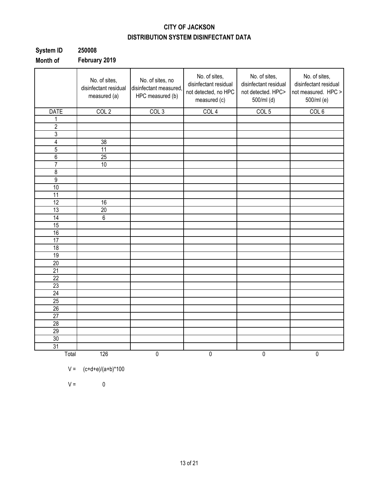### **CITY OF JACKSON DISTRIBUTION SYSTEM DISINFECTANT DATA**

| <b>System ID</b> | 250008        |
|------------------|---------------|
| Month of         | February 2019 |

|                 | No. of sites,<br>disinfectant residual<br>measured (a) | No. of sites, no<br>disinfectant measured,<br>HPC measured (b) | No. of sites,<br>disinfectant residual<br>not detected, no HPC<br>measured (c) | No. of sites,<br>disinfectant residual<br>not detected. HPC><br>500/ml (d) | No. of sites,<br>disinfectant residual<br>not measured. HPC ><br>500/ml (e) |
|-----------------|--------------------------------------------------------|----------------------------------------------------------------|--------------------------------------------------------------------------------|----------------------------------------------------------------------------|-----------------------------------------------------------------------------|
| <b>DATE</b>     | COL <sub>2</sub>                                       | COL <sub>3</sub>                                               | COL <sub>4</sub>                                                               | COL <sub>5</sub>                                                           | COL 6                                                                       |
| 1               |                                                        |                                                                |                                                                                |                                                                            |                                                                             |
| $\overline{c}$  |                                                        |                                                                |                                                                                |                                                                            |                                                                             |
| $\overline{3}$  |                                                        |                                                                |                                                                                |                                                                            |                                                                             |
| $\overline{4}$  | 38                                                     |                                                                |                                                                                |                                                                            |                                                                             |
| $\overline{5}$  | $\overline{11}$                                        |                                                                |                                                                                |                                                                            |                                                                             |
| $\overline{6}$  | 25                                                     |                                                                |                                                                                |                                                                            |                                                                             |
| $\overline{7}$  | 10                                                     |                                                                |                                                                                |                                                                            |                                                                             |
| $\overline{8}$  |                                                        |                                                                |                                                                                |                                                                            |                                                                             |
| $\overline{9}$  |                                                        |                                                                |                                                                                |                                                                            |                                                                             |
| 10              |                                                        |                                                                |                                                                                |                                                                            |                                                                             |
| $\overline{11}$ |                                                        |                                                                |                                                                                |                                                                            |                                                                             |
| 12              | 16                                                     |                                                                |                                                                                |                                                                            |                                                                             |
| $\overline{13}$ | 20                                                     |                                                                |                                                                                |                                                                            |                                                                             |
| $\overline{14}$ | $\overline{6}$                                         |                                                                |                                                                                |                                                                            |                                                                             |
| 15              |                                                        |                                                                |                                                                                |                                                                            |                                                                             |
| 16              |                                                        |                                                                |                                                                                |                                                                            |                                                                             |
| 17              |                                                        |                                                                |                                                                                |                                                                            |                                                                             |
| 18              |                                                        |                                                                |                                                                                |                                                                            |                                                                             |
| 19              |                                                        |                                                                |                                                                                |                                                                            |                                                                             |
| 20              |                                                        |                                                                |                                                                                |                                                                            |                                                                             |
| $\overline{21}$ |                                                        |                                                                |                                                                                |                                                                            |                                                                             |
| $\overline{22}$ |                                                        |                                                                |                                                                                |                                                                            |                                                                             |
| 23              |                                                        |                                                                |                                                                                |                                                                            |                                                                             |
| 24              |                                                        |                                                                |                                                                                |                                                                            |                                                                             |
| 25              |                                                        |                                                                |                                                                                |                                                                            |                                                                             |
| 26              |                                                        |                                                                |                                                                                |                                                                            |                                                                             |
| $\overline{27}$ |                                                        |                                                                |                                                                                |                                                                            |                                                                             |
| $\overline{28}$ |                                                        |                                                                |                                                                                |                                                                            |                                                                             |
| 29              |                                                        |                                                                |                                                                                |                                                                            |                                                                             |
| $\overline{30}$ |                                                        |                                                                |                                                                                |                                                                            |                                                                             |
| 31              |                                                        |                                                                |                                                                                |                                                                            |                                                                             |
| Total           | 126                                                    | $\pmb{0}$                                                      | $\pmb{0}$                                                                      | 0                                                                          | $\pmb{0}$                                                                   |

$$
V =
$$
  $(c+d+e)/(a+b)*100$ 

 $V = 0$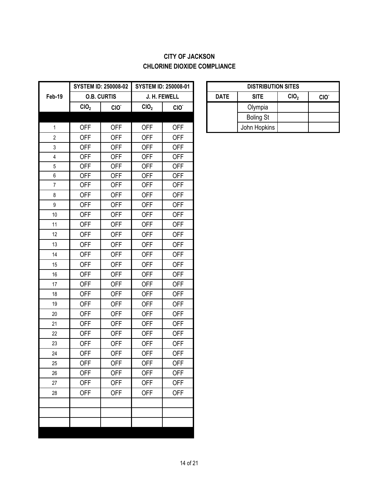### **CITY OF JACKSON CHLORINE DIOXIDE COMPLIANCE**

|                  |                  | <b>SYSTEM ID: 250008-02</b> | <b>SYSTEM ID: 250008-01</b> |              |             | <b>DISTRIBUT</b> |
|------------------|------------------|-----------------------------|-----------------------------|--------------|-------------|------------------|
| Feb-19           |                  | <b>O.B. CURTIS</b>          |                             | J. H. FEWELL | <b>DATE</b> | <b>SITE</b>      |
|                  | CIO <sub>2</sub> | CIO.                        | CIO <sub>2</sub>            | CIO.         |             | Olympia          |
|                  |                  |                             |                             |              |             | <b>Boling St</b> |
| $\mathbf{1}$     | <b>OFF</b>       | <b>OFF</b>                  | <b>OFF</b>                  | <b>OFF</b>   |             | John Hopkins     |
| $\overline{2}$   | <b>OFF</b>       | <b>OFF</b>                  | <b>OFF</b>                  | <b>OFF</b>   |             |                  |
| 3                | <b>OFF</b>       | <b>OFF</b>                  | <b>OFF</b>                  | <b>OFF</b>   |             |                  |
| $\overline{4}$   | <b>OFF</b>       | <b>OFF</b>                  | <b>OFF</b>                  | <b>OFF</b>   |             |                  |
| $\overline{5}$   | <b>OFF</b>       | <b>OFF</b>                  | <b>OFF</b>                  | <b>OFF</b>   |             |                  |
| 6                | <b>OFF</b>       | <b>OFF</b>                  | <b>OFF</b>                  | <b>OFF</b>   |             |                  |
| $\overline{7}$   | <b>OFF</b>       | <b>OFF</b>                  | <b>OFF</b>                  | <b>OFF</b>   |             |                  |
| 8                | <b>OFF</b>       | <b>OFF</b>                  | <b>OFF</b>                  | <b>OFF</b>   |             |                  |
| $\boldsymbol{9}$ | <b>OFF</b>       | <b>OFF</b>                  | <b>OFF</b>                  | <b>OFF</b>   |             |                  |
| 10               | <b>OFF</b>       | <b>OFF</b>                  | <b>OFF</b>                  | <b>OFF</b>   |             |                  |
| 11               | <b>OFF</b>       | <b>OFF</b>                  | <b>OFF</b>                  | <b>OFF</b>   |             |                  |
| 12               | <b>OFF</b>       | <b>OFF</b>                  | <b>OFF</b>                  | <b>OFF</b>   |             |                  |
| 13               | <b>OFF</b>       | <b>OFF</b>                  | <b>OFF</b>                  | <b>OFF</b>   |             |                  |
| 14               | <b>OFF</b>       | <b>OFF</b>                  | <b>OFF</b>                  | <b>OFF</b>   |             |                  |
| 15               | <b>OFF</b>       | <b>OFF</b>                  | <b>OFF</b>                  | <b>OFF</b>   |             |                  |
| 16               | <b>OFF</b>       | <b>OFF</b>                  | <b>OFF</b>                  | <b>OFF</b>   |             |                  |
| 17               | <b>OFF</b>       | <b>OFF</b>                  | <b>OFF</b>                  | <b>OFF</b>   |             |                  |
| 18               | <b>OFF</b>       | <b>OFF</b>                  | <b>OFF</b>                  | <b>OFF</b>   |             |                  |
| 19               | <b>OFF</b>       | <b>OFF</b>                  | <b>OFF</b>                  | <b>OFF</b>   |             |                  |
| 20               | <b>OFF</b>       | <b>OFF</b>                  | <b>OFF</b>                  | <b>OFF</b>   |             |                  |
| 21               | <b>OFF</b>       | <b>OFF</b>                  | <b>OFF</b>                  | <b>OFF</b>   |             |                  |
| 22               | <b>OFF</b>       | <b>OFF</b>                  | <b>OFF</b>                  | <b>OFF</b>   |             |                  |
| 23               | <b>OFF</b>       | <b>OFF</b>                  | <b>OFF</b>                  | <b>OFF</b>   |             |                  |
| 24               | <b>OFF</b>       | <b>OFF</b>                  | <b>OFF</b>                  | <b>OFF</b>   |             |                  |
| 25               | <b>OFF</b>       | <b>OFF</b>                  | <b>OFF</b>                  | <b>OFF</b>   |             |                  |
| 26               | <b>OFF</b>       | <b>OFF</b>                  | <b>OFF</b>                  | <b>OFF</b>   |             |                  |
| 27               | <b>OFF</b>       | <b>OFF</b>                  | <b>OFF</b>                  | <b>OFF</b>   |             |                  |
| 28               | <b>OFF</b>       | <b>OFF</b>                  | <b>OFF</b>                  | <b>OFF</b>   |             |                  |
|                  |                  |                             |                             |              |             |                  |
|                  |                  |                             |                             |              |             |                  |
|                  |                  |                             |                             |              |             |                  |
|                  |                  |                             |                             |              |             |                  |

| <b>DISTRIBUTION SITES</b>                                          |                  |  |  |  |  |  |  |  |
|--------------------------------------------------------------------|------------------|--|--|--|--|--|--|--|
| CIO <sub>2</sub><br><b>SITE</b><br><b>DATE</b><br>CIO <sup>-</sup> |                  |  |  |  |  |  |  |  |
|                                                                    | Olympia          |  |  |  |  |  |  |  |
|                                                                    | <b>Boling St</b> |  |  |  |  |  |  |  |
|                                                                    | John Hopkins     |  |  |  |  |  |  |  |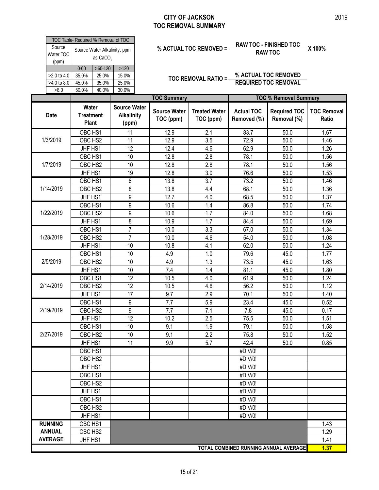#### **CITY OF JACKSON TOC REMOVAL SUMMARY**

|                              | Water                                                |                                      | <b>Source Wate</b> |  |  |  |  |
|------------------------------|------------------------------------------------------|--------------------------------------|--------------------|--|--|--|--|
|                              |                                                      |                                      |                    |  |  |  |  |
| >8.0                         | 50.0%                                                | 40.0%                                | 30.0%              |  |  |  |  |
| $>4.0$ to 8.0                | 45.0%                                                | 35.0%                                | 25.0%              |  |  |  |  |
| $>2.0$ to 4.0                | 35.0%                                                | 25.0%                                | 15.0%              |  |  |  |  |
|                              | $0 - 60$                                             | $>60-120$                            | >120               |  |  |  |  |
| Source<br>Water TOC<br>(ppm) | Source Water Alkalinity, ppm<br>as CaCO <sub>3</sub> |                                      |                    |  |  |  |  |
|                              |                                                      | TOC Table- Required % Removal of TOC |                    |  |  |  |  |

# **% ACTUAL TOC REMOVED = RAW TOC - FINISHED TOC X 100% RAW TOC**

**TOC REMOVAL RATIO = % ACTUAL TOC REMOVED REQUIRED TOC REMOVAL**

|                |                                           | <b>TOC Summary</b><br><b>TOC % Removal Summary</b> |                                  |                                   |                                  |                                    |                             |
|----------------|-------------------------------------------|----------------------------------------------------|----------------------------------|-----------------------------------|----------------------------------|------------------------------------|-----------------------------|
| <b>Date</b>    | Water<br><b>Treatment</b><br><b>Plant</b> | <b>Source Water</b><br><b>Alkalinity</b><br>(ppm)  | <b>Source Water</b><br>TOC (ppm) | <b>Treated Water</b><br>TOC (ppm) | <b>Actual TOC</b><br>Removed (%) | <b>Required TOC</b><br>Removal (%) | <b>TOC Removal</b><br>Ratio |
|                | OBC HS1                                   | 11                                                 | 12.9                             | 2.1                               | 83.7                             | 50.0                               | 1.67                        |
| 1/3/2019       | OBC HS2                                   | 11                                                 | 12.9                             | 3.5                               | 72.9                             | 50.0                               | 1.46                        |
|                | JHF HS1                                   | 12                                                 | 12.4                             | 4.6                               | 62.9                             | 50.0                               | 1.26                        |
|                | OBC HS1                                   | 10                                                 | 12.8                             | $\overline{2.8}$                  | 78.1                             | 50.0                               | 1.56                        |
| 1/7/2019       | OBC HS2                                   | 10                                                 | 12.8                             | 2.8                               | 78.1                             | 50.0                               | 1.56                        |
|                | JHF HS1                                   | 19                                                 | 12.8                             | 3.0                               | 76.6                             | 50.0                               | 1.53                        |
|                | OBC HS1                                   | 8                                                  | 13.8                             | 3.7                               | 73.2                             | 50.0                               | 1.46                        |
| 1/14/2019      | OBC HS2                                   | 8                                                  | 13.8                             | 4.4                               | 68.1                             | 50.0                               | 1.36                        |
|                | JHF HS1                                   | 9                                                  | 12.7                             | 4.0                               | 68.5                             | 50.0                               | 1.37                        |
|                | OBC HS1                                   | 9                                                  | 10.6                             | 1.4                               | 86.8                             | 50.0                               | 1.74                        |
| 1/22/2019      | OBC HS2                                   | 9                                                  | 10.6                             | 1.7                               | 84.0                             | 50.0                               | 1.68                        |
|                | JHF HS1                                   | 8                                                  | 10.9                             | 1.7                               | 84.4                             | 50.0                               | 1.69                        |
|                | OBC HS1                                   | $\overline{7}$                                     | 10.0                             | 3.3                               | 67.0                             | 50.0                               | 1.34                        |
| 1/28/2019      | OBC HS2                                   | $\overline{7}$                                     | 10.0                             | 4.6                               | 54.0                             | 50.0                               | 1.08                        |
|                | JHF HS1                                   | 10                                                 | 10.8                             | 4.1                               | 62.0                             | 50.0                               | 1.24                        |
|                | OBC HS1                                   | 10                                                 | 4.9                              | 1.0                               | 79.6                             | 45.0                               | 1.77                        |
| 2/5/2019       | OBC HS2                                   | 10                                                 | 4.9                              | 1.3                               | 73.5                             | 45.0                               | 1.63                        |
|                | JHF HS1                                   | 10                                                 | 7.4                              | 1.4                               | 81.1                             | 45.0                               | 1.80                        |
|                | OBC HS1                                   | 12                                                 | 10.5                             | 4.0                               | 61.9                             | 50.0                               | 1.24                        |
| 2/14/2019      | OBC HS2                                   | 12                                                 | 10.5                             | 4.6                               | 56.2                             | 50.0                               | 1.12                        |
|                | JHF HS1                                   | 17                                                 | 9.7                              | 2.9                               | 70.1                             | 50.0                               | 1.40                        |
|                | OBC HS1                                   | 9                                                  | 7.7                              | 5.9                               | 23.4                             | 45.0                               | 0.52                        |
| 2/19/2019      | OBC HS2                                   | 9                                                  | 7.7                              | 7.1                               | 7.8                              | 45.0                               | 0.17                        |
|                | JHF HS1                                   | 12                                                 | 10.2                             | 2.5                               | 75.5                             | 50.0                               | 1.51                        |
|                | OBC HS1                                   | 10                                                 | 9.1                              | 1.9                               | 79.1                             | $\overline{50.0}$                  | 1.58                        |
| 2/27/2019      | OBC HS2                                   | 10                                                 | 9.1                              | 2.2                               | 75.8                             | 50.0                               | 1.52                        |
|                | JHF HS1                                   | 11                                                 | 9.9                              | 5.7                               | 42.4                             | 50.0                               | 0.85                        |
|                | OBC HS1                                   |                                                    |                                  |                                   | #DIV/0!                          |                                    |                             |
|                | OBC HS2                                   |                                                    |                                  |                                   | #DIV/0!                          |                                    |                             |
|                | JHF HS1                                   |                                                    |                                  |                                   | #DIV/0!                          |                                    |                             |
|                | OBC HS1                                   |                                                    |                                  |                                   | #DIV/0!                          |                                    |                             |
|                | OBC HS2                                   |                                                    |                                  |                                   | #DIV/0!                          |                                    |                             |
|                | JHF HS1                                   |                                                    |                                  |                                   | #DIV/0!                          |                                    |                             |
|                | OBC HS1                                   |                                                    |                                  |                                   | #DIV/0!                          |                                    |                             |
|                | OBC HS2                                   |                                                    |                                  |                                   | #DIV/0!                          |                                    |                             |
|                | JHF HS1                                   |                                                    |                                  |                                   | #DIV/0!                          |                                    |                             |
| <b>RUNNING</b> | OBC HS1                                   |                                                    |                                  |                                   |                                  |                                    | 1.43                        |
| <b>ANNUAL</b>  | OBC HS2                                   |                                                    |                                  |                                   |                                  |                                    | 1.29                        |
| <b>AVERAGE</b> | JHF HS1                                   |                                                    |                                  |                                   |                                  |                                    | 1.41                        |
|                | TOTAL COMBINED RUNNING ANNUAL AVERAGE     |                                                    |                                  |                                   |                                  |                                    |                             |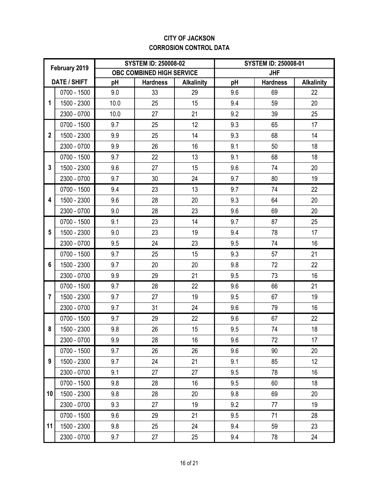#### **CITY OF JACKSON CORROSION CONTROL DATA**

| February 2019  |                     |      | <b>SYSTEM ID: 250008-02</b> |                   | <b>SYSTEM ID: 250008-01</b> |                 |                   |
|----------------|---------------------|------|-----------------------------|-------------------|-----------------------------|-----------------|-------------------|
|                |                     |      | OBC COMBINED HIGH SERVICE   |                   |                             | <b>JHF</b>      |                   |
|                | <b>DATE / SHIFT</b> | pH   | <b>Hardness</b>             | <b>Alkalinity</b> | pH                          | <b>Hardness</b> | <b>Alkalinity</b> |
|                | 0700 - 1500         | 9.0  | 33                          | 29                | 9.6                         | 69              | 22                |
| 1              | 1500 - 2300         | 10.0 | 25                          | 15                | 9.4                         | 59              | 20                |
|                | 2300 - 0700         | 10.0 | 27                          | 21                | 9.2                         | 39              | 25                |
|                | 0700 - 1500         | 9.7  | 25                          | 12                | 9.3                         | 65              | 17                |
| $\overline{2}$ | 1500 - 2300         | 9.9  | 25                          | 14                | 9.3                         | 68              | 14                |
|                | 2300 - 0700         | 9.9  | 26                          | 16                | 9.1                         | 50              | 18                |
|                | 0700 - 1500         | 9.7  | 22                          | 13                | 9.1                         | 68              | 18                |
| 3              | 1500 - 2300         | 9.6  | 27                          | 15                | 9.6                         | 74              | 20                |
|                | 2300 - 0700         | 9.7  | 30                          | 24                | 9.7                         | 80              | 19                |
|                | 0700 - 1500         | 9.4  | 23                          | 13                | 9.7                         | 74              | 22                |
| 4              | 1500 - 2300         | 9.6  | 28                          | 20                | 9.3                         | 64              | 20                |
|                | 2300 - 0700         | 9.0  | 28                          | 23                | 9.6                         | 69              | 20                |
|                | 0700 - 1500         | 9.1  | 23                          | 14                | 9.7                         | 87              | 25                |
| 5              | 1500 - 2300         | 9.0  | 23                          | 19                | 9.4                         | 78              | 17                |
|                | 2300 - 0700         | 9.5  | 24                          | 23                | 9.5                         | 74              | 16                |
|                | 0700 - 1500         | 9.7  | 25                          | 15                | 9.3                         | 57              | 21                |
| 6              | 1500 - 2300         | 9.7  | 20                          | 20                | 9.8                         | 72              | 22                |
|                | 2300 - 0700         | 9.9  | 29                          | 21                | 9.5                         | 73              | 16                |
|                | 0700 - 1500         | 9.7  | 28                          | 22                | 9.6                         | 66              | 21                |
| $\overline{7}$ | 1500 - 2300         | 9.7  | 27                          | 19                | 9.5                         | 67              | 19                |
|                | 2300 - 0700         | 9.7  | 31                          | 24                | 9.6                         | 79              | 16                |
|                | 0700 - 1500         | 9.7  | 29                          | 22                | 9.6                         | 67              | 22                |
| 8              | 1500 - 2300         | 9.8  | 26                          | 15                | 9.5                         | 74              | 18                |
|                | 2300 - 0700         | 9.9  | 28                          | 16                | 9.6                         | 72              | 17                |
|                | 0700 - 1500         | 9.7  | 26                          | 26                | 9.6                         | 90              | 20                |
| 9              | 1500 - 2300         | 9.7  | 24                          | 21                | 9.1                         | 85              | 12                |
|                | 2300 - 0700         | 9.1  | 27                          | 27                | 9.5                         | 78              | 16                |
|                | 0700 - 1500         | 9.8  | 28                          | 16                | 9.5                         | 60              | 18                |
| 10             | 1500 - 2300         | 9.8  | 28                          | 20                | 9.8                         | 69              | 20                |
|                | 2300 - 0700         | 9.3  | 27                          | 19                | 9.2                         | 77              | 19                |
|                | 0700 - 1500         | 9.6  | 29                          | 21                | 9.5                         | 71              | 28                |
| 11             | 1500 - 2300         | 9.8  | 25                          | 24                | 9.4                         | 59              | 23                |
|                | 2300 - 0700         | 9.7  | 27                          | 25                | 9.4                         | 78              | 24                |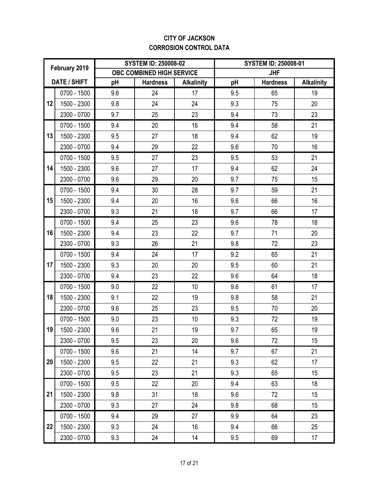#### **CITY OF JACKSON CORROSION CONTROL DATA**

| February 2019 |                     |     | <b>SYSTEM ID: 250008-02</b> |                   | <b>SYSTEM ID: 250008-01</b> |                 |                   |
|---------------|---------------------|-----|-----------------------------|-------------------|-----------------------------|-----------------|-------------------|
|               |                     |     | OBC COMBINED HIGH SERVICE   |                   |                             | <b>JHF</b>      |                   |
|               | <b>DATE / SHIFT</b> | pH  | <b>Hardness</b>             | <b>Alkalinity</b> | pH                          | <b>Hardness</b> | <b>Alkalinity</b> |
|               | 0700 - 1500         | 9.6 | 24                          | 17                | 9.5                         | 65              | 19                |
| 12            | 1500 - 2300         | 9.8 | 24                          | 24                | 9.3                         | 75              | 20                |
|               | 2300 - 0700         | 9.7 | 25                          | 23                | 9.4                         | 73              | 23                |
|               | 0700 - 1500         | 9.4 | 20                          | 16                | 9.4                         | 58              | 21                |
| 13            | 1500 - 2300         | 9.5 | 27                          | 18                | 9.4                         | 62              | 19                |
|               | 2300 - 0700         | 9.4 | 29                          | 22                | 9.6                         | 70              | 16                |
|               | 0700 - 1500         | 9.5 | 27                          | 23                | 9.5                         | 53              | 21                |
| 14            | 1500 - 2300         | 9.6 | 27                          | 17                | 9.4                         | 62              | 24                |
|               | 2300 - 0700         | 9.6 | 29                          | 20                | 9.7                         | 75              | 15                |
|               | 0700 - 1500         | 9.4 | 30                          | 28                | 9.7                         | 59              | 21                |
| 15            | 1500 - 2300         | 9.4 | 20                          | 16                | 9.6                         | 66              | 16                |
|               | 2300 - 0700         | 9.3 | 21                          | 18                | 9.7                         | 66              | 17                |
|               | 0700 - 1500         | 9.4 | 25                          | 23                | 9.6                         | 78              | 18                |
| 16            | 1500 - 2300         | 9.4 | 23                          | 22                | 9.7                         | 71              | 20                |
|               | 2300 - 0700         | 9.3 | 26                          | 21                | 9.8                         | 72              | 23                |
|               | 0700 - 1500         | 9.4 | 24                          | 17                | 9.2                         | 65              | 21                |
| 17            | 1500 - 2300         | 9.3 | 20                          | 20                | 9.5                         | 60              | 21                |
|               | 2300 - 0700         | 9.4 | 23                          | 22                | 9.6                         | 64              | 18                |
|               | 0700 - 1500         | 9.0 | 22                          | 10                | 9.6                         | 61              | 17                |
| 18            | 1500 - 2300         | 9.1 | 22                          | 19                | 9.8                         | 58              | 21                |
|               | 2300 - 0700         | 9.6 | 25                          | 23                | 9.5                         | 70              | 20                |
|               | 0700 - 1500         | 9.0 | 23                          | 10                | 9.3                         | 72              | 19                |
| 19            | 1500 - 2300         | 9.6 | 21                          | 19                | 9.7                         | 65              | 19                |
|               | 2300 - 0700         | 9.5 | 23                          | 20                | 9.6                         | 72              | 15                |
|               | 0700 - 1500         | 9.6 | 21                          | 14                | 9.7                         | 67              | 21                |
| 20            | 1500 - 2300         | 9.5 | 22                          | 21                | 9.3                         | 62              | 17                |
|               | 2300 - 0700         | 9.5 | 23                          | 21                | 9.3                         | 65              | 15                |
|               | 0700 - 1500         | 9.5 | 22                          | 20                | 9.4                         | 63              | 18                |
| 21            | 1500 - 2300         | 9.8 | 31                          | 18                | 9.6                         | 72              | 15                |
|               | 2300 - 0700         | 9.3 | 27                          | 24                | 9.8                         | 68              | 15                |
|               | 0700 - 1500         | 9.4 | 29                          | 27                | 9.9                         | 64              | 23                |
| 22            | 1500 - 2300         | 9.3 | 24                          | 16                | 9.4                         | 66              | 25                |
|               | 2300 - 0700         | 9.3 | 24                          | 14                | 9.5                         | 69              | 17                |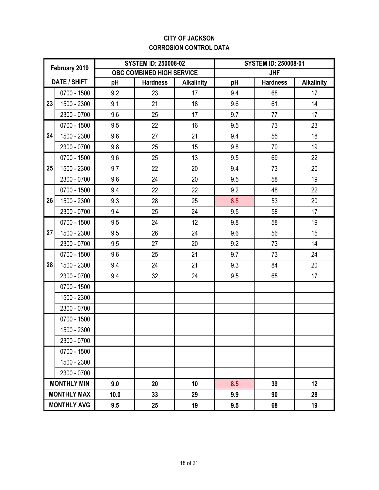#### **CITY OF JACKSON CORROSION CONTROL DATA**

|    | February 2019      |      | <b>SYSTEM ID: 250008-02</b> |                   | <b>SYSTEM ID: 250008-01</b> |                 |                   |
|----|--------------------|------|-----------------------------|-------------------|-----------------------------|-----------------|-------------------|
|    |                    |      | OBC COMBINED HIGH SERVICE   |                   |                             | <b>JHF</b>      |                   |
|    | DATE / SHIFT       | pH   | <b>Hardness</b>             | <b>Alkalinity</b> | pH                          | <b>Hardness</b> | <b>Alkalinity</b> |
|    | 0700 - 1500        | 9.2  | 23                          | 17                | 9.4                         | 68              | 17                |
| 23 | 1500 - 2300        | 9.1  | 21                          | 18                | 9.6                         | 61              | 14                |
|    | 2300 - 0700        | 9.6  | 25                          | 17                | 9.7                         | 77              | 17                |
|    | 0700 - 1500        | 9.5  | 22                          | 16                | 9.5                         | 73              | 23                |
| 24 | 1500 - 2300        | 9.6  | 27                          | 21                | 9.4                         | 55              | 18                |
|    | 2300 - 0700        | 9.8  | 25                          | 15                | 9.8                         | 70              | 19                |
|    | 0700 - 1500        | 9.6  | 25                          | 13                | 9.5                         | 69              | 22                |
| 25 | 1500 - 2300        | 9.7  | 22                          | 20                | 9.4                         | 73              | 20                |
|    | 2300 - 0700        | 9.6  | 24                          | 20                | 9.5                         | 58              | 19                |
|    | 0700 - 1500        | 9.4  | 22                          | 22                | 9.2                         | 48              | 22                |
| 26 | 1500 - 2300        | 9.3  | 28                          | 25                | 8.5                         | 53              | 20                |
|    | 2300 - 0700        | 9.4  | 25                          | 24                | 9.5                         | 58              | 17                |
|    | 0700 - 1500        | 9.5  | 24                          | 12                | 9.8                         | 58              | 19                |
| 27 | 1500 - 2300        | 9.5  | 26                          | 24                | 9.6                         | 56              | 15                |
|    | 2300 - 0700        | 9.5  | 27                          | 20                | 9.2                         | 73              | 14                |
|    | 0700 - 1500        | 9.6  | 25                          | 21                | 9.7                         | 73              | 24                |
| 28 | 1500 - 2300        | 9.4  | 24                          | 21                | 9.3                         | 84              | 20                |
|    | 2300 - 0700        | 9.4  | 32                          | 24                | 9.5                         | 65              | 17                |
|    | 0700 - 1500        |      |                             |                   |                             |                 |                   |
|    | 1500 - 2300        |      |                             |                   |                             |                 |                   |
|    | 2300 - 0700        |      |                             |                   |                             |                 |                   |
|    | 0700 - 1500        |      |                             |                   |                             |                 |                   |
|    | 1500 - 2300        |      |                             |                   |                             |                 |                   |
|    | 2300 - 0700        |      |                             |                   |                             |                 |                   |
|    | 0700 - 1500        |      |                             |                   |                             |                 |                   |
|    | 1500 - 2300        |      |                             |                   |                             |                 |                   |
|    | 2300 - 0700        |      |                             |                   |                             |                 |                   |
|    | <b>MONTHLY MIN</b> | 9.0  | 20                          | 10                | 8.5                         | 39              | 12                |
|    | <b>MONTHLY MAX</b> | 10.0 | 33                          | 29                | 9.9                         | 90              | 28                |
|    | <b>MONTHLY AVG</b> | 9.5  | 25                          | 19                | 9.5                         | 68              | 19                |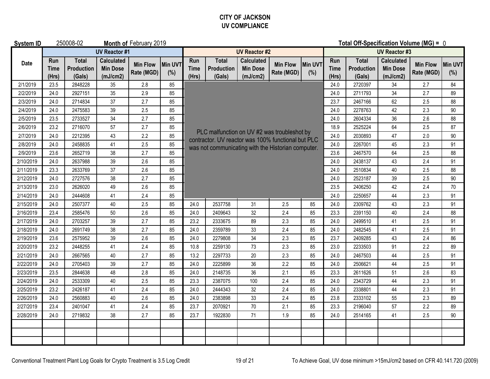#### **CITY OF JACKSON UV COMPLIANCE**

| <b>System ID</b> |                             | 250008-02                            |                                                  | Month of February 2019        |                | Total Off-Specification Volume (MG) = 0 |                                                                                                                      |                                                  |                               |                |                      |                                      |                                                  |                               |                |  |  |
|------------------|-----------------------------|--------------------------------------|--------------------------------------------------|-------------------------------|----------------|-----------------------------------------|----------------------------------------------------------------------------------------------------------------------|--------------------------------------------------|-------------------------------|----------------|----------------------|--------------------------------------|--------------------------------------------------|-------------------------------|----------------|--|--|
|                  |                             |                                      | <b>UV Reactor #1</b>                             |                               |                | <b>UV Reactor #2</b>                    |                                                                                                                      |                                                  |                               |                |                      | <b>UV Reactor #3</b>                 |                                                  |                               |                |  |  |
| Date             | Run<br><b>Time</b><br>(Hrs) | <b>Total</b><br>Production<br>(Gals) | <b>Calculated</b><br><b>Min Dose</b><br>(mJ/cm2) | <b>Min Flow</b><br>Rate (MGD) | Min UVT<br>(%) | Run<br><b>Time</b><br>(Hrs)             | <b>Total</b><br><b>Production</b><br>(Gals)                                                                          | <b>Calculated</b><br><b>Min Dose</b><br>(mJ/cm2) | <b>Min Flow</b><br>Rate (MGD) | Min UVT<br>(%) | Run<br>Time<br>(Hrs) | <b>Total</b><br>Production<br>(Gals) | <b>Calculated</b><br><b>Min Dose</b><br>(mJ/cm2) | <b>Min Flow</b><br>Rate (MGD) | Min UVT<br>(%) |  |  |
| 2/1/2019         | 23.5                        | 2848228                              | 35                                               | 2.8                           | 85             |                                         |                                                                                                                      |                                                  |                               |                | 24.0                 | 2720397                              | 34                                               | 2.7                           | 84             |  |  |
| 2/2/2019         | 24.0                        | 2927151                              | 35                                               | 2.9                           | 85             |                                         | 2711793<br>34<br>2.7<br>24.0<br>89<br>23.7<br>2467166<br>62<br>2.5<br>88<br>24.0<br>2278763<br>42<br>2.3<br>90<br>88 |                                                  |                               |                |                      |                                      |                                                  |                               |                |  |  |
| 2/3/2019         | 24.0                        | 2714834                              | 37                                               | 2.7                           | 85             |                                         |                                                                                                                      |                                                  |                               |                |                      |                                      |                                                  |                               |                |  |  |
| 2/4/2019         | 24.0                        | 2475583                              | 39                                               | 2.5                           | 85             |                                         |                                                                                                                      |                                                  |                               |                |                      |                                      |                                                  |                               |                |  |  |
| 2/5/2019         | 23.5                        | 2733527                              | $34$                                             | 2.7                           | 85             |                                         | 2604334<br>36<br>2.6<br>24.0                                                                                         |                                                  |                               |                |                      |                                      |                                                  |                               |                |  |  |
| 2/6/2019         | 23.2                        | 2716070                              | 57                                               | 2.7                           | 85             |                                         |                                                                                                                      |                                                  |                               | 18.9           | 2525224              | 64                                   | 2.5                                              | 87                            |                |  |  |
| 2/7/2019         | 24.0                        | 2212395                              | 43                                               | 2.2                           | 85             |                                         | PLC malfunction on UV #2 was troubleshot by<br>contractor. UV reactor was 100% functional but PLC                    |                                                  |                               |                | 24.0                 | 2030893                              | 47                                               | 2.0                           | 90             |  |  |
| 2/8/2019         | 24.0                        | 2458835                              | 41                                               | 2.5                           | 85             |                                         | was not communicating with the Historian computer.                                                                   |                                                  |                               |                | 24.0                 | 2267001                              | 45                                               | 2.3                           | 91             |  |  |
| 2/9/2019         | 23.6                        | 2652719                              | 38                                               | 2.7                           | 85             |                                         |                                                                                                                      |                                                  | 2467570                       | 64             | 2.5                  | 88                                   |                                                  |                               |                |  |  |
| 2/10/2019        | 24.0                        | 2637988                              | 39                                               | 2.6                           | 85             |                                         | 24.0<br>2438137<br>43<br>2.4<br>91<br>24.0<br>2510834<br>40<br>2.5<br>88                                             |                                                  |                               |                |                      |                                      |                                                  |                               |                |  |  |
| 2/11/2019        | 23.3                        | 2633769                              | 37                                               | 2.6                           | 85             |                                         |                                                                                                                      |                                                  |                               |                |                      |                                      |                                                  |                               |                |  |  |
| 2/12/2019        | 24.0                        | 2727576                              | 38                                               | 2.7                           | 85             | 24.0<br>2523187<br>39<br>2.5<br>90      |                                                                                                                      |                                                  |                               |                |                      |                                      |                                                  |                               |                |  |  |
| 2/13/2019        | 23.0                        | 2626020                              | 49                                               | 2.6                           | 85             |                                         |                                                                                                                      |                                                  |                               | 23.5           | 2406250              | 42                                   | 2.4                                              | 70                            |                |  |  |
| 2/14/2019        | 24.0                        | 2444608                              | 41                                               | 2.4                           | 85             |                                         |                                                                                                                      |                                                  |                               |                | 24.0                 | 2250657                              | 44                                               | 2.3                           | 91             |  |  |
| 2/15/2019        | 24.0                        | 2507377                              | 40                                               | 2.5                           | 85             | 24.0                                    | 2537758                                                                                                              | 31                                               | 2.5                           | 24.0           | 2309762              | 43                                   | 2.3                                              | 91                            |                |  |  |
| 2/16/2019        | 23.4                        | 2585476                              | 50                                               | 2.6                           | 85             | 24.0                                    | 2409643                                                                                                              | 32                                               | 2.4                           | 85             | 23.3                 | 2391150                              | 40                                               | 2.4                           | 88             |  |  |
| 2/17/2019        | 24.0                        | 2703257                              | 39                                               | 2.7                           | 85             | 23.2                                    | 2333675                                                                                                              | 89                                               | 2.3                           | 85             | 24.0                 | 2499510                              | 41                                               | 2.5                           | 91             |  |  |
| 2/18/2019        | 24.0                        | 2691749                              | 38                                               | 2.7                           | 85             | 24.0                                    | 2359789                                                                                                              | 33                                               | 2.4                           | 85             | 24.0                 | 2482545                              | 41                                               | 2.5                           | 91             |  |  |
| 2/19/2019        | 23.6                        | 2575952                              | 39                                               | 2.6                           | 85             | 24.0                                    | 2279808                                                                                                              | 34                                               | 2.3                           | 85             | 23.7                 | 2409285                              | 43                                               | 2.4                           | 86             |  |  |
| 2/20/2019        | 23.2                        | 2448255                              | 41                                               | 2.4                           | 85             | 10.8                                    | 2259130                                                                                                              | 73                                               | 2.3                           | 85             | 23.0                 | 2233503                              | 91                                               | 2.2                           | 89             |  |  |
| 2/21/2019        | 24.0                        | 2667565                              | 40                                               | 2.7                           | 85             | 13.2                                    | 2297733                                                                                                              | $20\,$                                           | 2.3                           | 85             | 24.0                 | 2467503                              | 44                                               | 2.5                           | 91             |  |  |
| 2/22/2019        | 24.0                        | 2705403                              | 39                                               | 2.7                           | 85             | 24.0                                    | 2225899                                                                                                              | 36                                               | 2.2                           | 85             | 24.0                 | 2506621                              | 44                                               | 2.5                           | 91             |  |  |
| 2/23/2019        | 23.5                        | 2844638                              | 48                                               | 2.8                           | 85             | 24.0                                    | 2148735                                                                                                              | 36                                               | 2.1                           | 85             | 23.3                 | 2611626                              | 51                                               | 2.6                           | 83             |  |  |
| 2/24/2019        | 24.0                        | 2533309                              | 40                                               | 2.5                           | 85             | 23.3                                    | 2387075                                                                                                              | 100                                              | 2.4                           | 85             | 24.0                 | 2343729                              | 44                                               | 2.3                           | 91             |  |  |
| 2/25/2019        | 23.2                        | 2426187                              | 41                                               | 2.4                           | 85             | 24.0                                    | 2444343                                                                                                              | 32                                               | 2.4                           | 85             | 24.0                 | 2338801                              | 44                                               | 2.3                           | 91             |  |  |
| 2/26/2019        | 24.0                        | 2560883                              | 40                                               | 2.6                           | 85             | 24.0                                    | 2383898                                                                                                              | 33                                               | 2.4                           | 85             | 23.8                 | 2333102                              | 55                                               | 2.3                           | 89             |  |  |
| 2/27/2019        | 23.4                        | 2401047                              | 41                                               | 2.4                           | 85             | 23.7                                    | 2070921                                                                                                              | $70\,$                                           | 2.1                           | 85             | 23.3                 | 2196040                              | 57                                               | 2.2                           | 89             |  |  |
| 2/28/2019        | 24.0                        | 2719832                              | 38                                               | 2.7                           | 85             | 23.7                                    | 1922830                                                                                                              | 71                                               | 1.9                           | 85             | 24.0                 | 2514165                              | 41                                               | 2.5                           | 90             |  |  |
|                  |                             |                                      |                                                  |                               |                |                                         |                                                                                                                      |                                                  |                               |                |                      |                                      |                                                  |                               |                |  |  |
|                  |                             |                                      |                                                  |                               |                |                                         |                                                                                                                      |                                                  |                               |                |                      |                                      |                                                  |                               |                |  |  |
|                  |                             |                                      |                                                  |                               |                |                                         |                                                                                                                      |                                                  |                               |                |                      |                                      |                                                  |                               |                |  |  |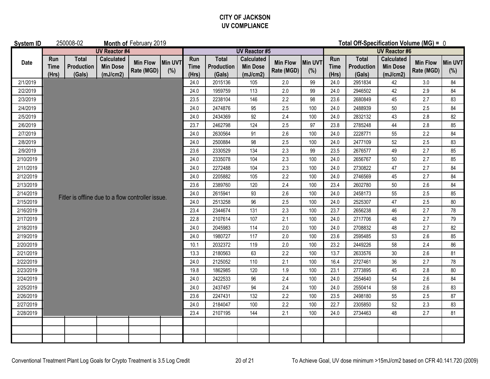#### **CITY OF JACKSON UV COMPLIANCE**

| <b>System ID</b> |                             | 250008-02                            |                                                   | Month of February 2019        |                | Total Off-Specification Volume (MG) = 0 |                                             |                                                  |                               |                |                             |                                      |                                                  |                               |                |  |  |
|------------------|-----------------------------|--------------------------------------|---------------------------------------------------|-------------------------------|----------------|-----------------------------------------|---------------------------------------------|--------------------------------------------------|-------------------------------|----------------|-----------------------------|--------------------------------------|--------------------------------------------------|-------------------------------|----------------|--|--|
|                  |                             |                                      | <b>UV Reactor #4</b>                              |                               |                | <b>UV Reactor #5</b>                    |                                             |                                                  |                               |                |                             | <b>UV Reactor #6</b>                 |                                                  |                               |                |  |  |
| Date             | Run<br><b>Time</b><br>(Hrs) | <b>Total</b><br>Production<br>(Gals) | <b>Calculated</b><br><b>Min Dose</b><br>(mJ/cm2)  | <b>Min Flow</b><br>Rate (MGD) | Min UVT<br>(%) | Run<br><b>Time</b><br>(Hrs)             | <b>Total</b><br><b>Production</b><br>(Gals) | <b>Calculated</b><br><b>Min Dose</b><br>(mJ/cm2) | <b>Min Flow</b><br>Rate (MGD) | Min UVT<br>(%) | Run<br><b>Time</b><br>(Hrs) | <b>Total</b><br>Production<br>(Gals) | <b>Calculated</b><br><b>Min Dose</b><br>(mJ/cm2) | <b>Min Flow</b><br>Rate (MGD) | Min UVT<br>(%) |  |  |
| 2/1/2019         |                             |                                      |                                                   |                               |                | 24.0                                    | 2015136                                     | 105                                              | 2.0                           | 99             | 24.0                        | 2951834                              | 42                                               | $3.0\,$                       | 84             |  |  |
| 2/2/2019         |                             |                                      |                                                   |                               |                | 24.0                                    | 1959759                                     | 113                                              | 2.0                           | 99             | 24.0                        | 2946502                              | 42                                               | 2.9                           | 84             |  |  |
| 2/3/2019         |                             |                                      |                                                   |                               |                | 23.5                                    | 2238104                                     | 146                                              | 2.2                           | 98             | 23.6                        | 2680849                              | 45                                               | 2.7                           | 83             |  |  |
| 2/4/2019         |                             |                                      |                                                   |                               |                | 24.0                                    | 2474876                                     | 95                                               | 2.5                           | 100            | 24.0                        | 2488939                              | 50                                               | 2.5                           | 84             |  |  |
| 2/5/2019         |                             |                                      |                                                   |                               |                | 24.0                                    | 2434369                                     | 92                                               | 2.4                           | 100            | 24.0                        | 2832132                              | 43                                               | 2.8                           | 82             |  |  |
| 2/6/2019         |                             |                                      |                                                   |                               |                | 23.7                                    | 2462798                                     | 124                                              | 2.5                           | 97             | 23.8                        | 2785248                              | 44                                               | 2.8                           | 85             |  |  |
| 2/7/2019         |                             |                                      |                                                   |                               |                | 24.0                                    | 2630564                                     | 91                                               | 2.6                           | 100            | 24.0                        | 2228771                              | 55                                               | 2.2                           | 84             |  |  |
| 2/8/2019         |                             |                                      |                                                   |                               |                | 24.0                                    | 2500884                                     | 98                                               | 2.5                           | 100            | 24.0                        | 2477109                              | 52                                               | 2.5                           | 83             |  |  |
| 2/9/2019         |                             |                                      |                                                   |                               |                | 23.6                                    | 2330529                                     | 134                                              | 2.3                           | 99             | 23.5                        | 2676577                              | 49                                               | 2.7                           | 85             |  |  |
| 2/10/2019        |                             |                                      |                                                   |                               |                | 24.0                                    | 2335078                                     | 104                                              | 2.3                           | 100            | 24.0                        | 2656767                              | 50                                               | 2.7                           | 85             |  |  |
| 2/11/2019        |                             |                                      |                                                   |                               |                | 24.0                                    | 2272488                                     | 104                                              | 2.3                           | 100            | 24.0                        | 2730822                              | 47                                               | 2.7                           | 84             |  |  |
| 2/12/2019        |                             |                                      |                                                   |                               |                | 24.0                                    | 2205882                                     | 105                                              | 2.2                           | 100            | 24.0                        | 2746569                              | 45                                               | 2.7                           | 84             |  |  |
| 2/13/2019        |                             |                                      |                                                   |                               |                | 23.6                                    | 2389760                                     | 120                                              | 2.4                           | 100            | 23.4                        | 2602780                              | 50                                               | 2.6                           | 84             |  |  |
| 2/14/2019        |                             |                                      | Fitler is offline due to a flow controller issue. |                               |                | 24.0                                    | 2615941                                     | 93                                               | 2.6                           | 100            | 24.0                        | 2458173                              | 55                                               | 2.5                           | 85             |  |  |
| 2/15/2019        |                             |                                      |                                                   |                               |                | 24.0                                    | 2513258                                     | 96                                               | 2.5                           | 100            | 24.0                        | 2525307                              | 47                                               | 2.5                           | 80             |  |  |
| 2/16/2019        |                             |                                      |                                                   |                               |                | 23.4                                    | 2344674                                     | 131                                              | 2.3                           | 100            | 23.7                        | 2656238                              | 46                                               | 2.7                           | 78             |  |  |
| 2/17/2019        |                             |                                      |                                                   |                               |                | 22.8                                    | 2107614                                     | 107                                              | 2.1                           | 100            | 24.0                        | 2717706                              | 48                                               | 2.7                           | 79             |  |  |
| 2/18/2019        |                             |                                      |                                                   |                               |                | 24.0                                    | 2045983                                     | 114                                              | 2.0                           | 100            | 24.0                        | 2708832                              | 48                                               | 2.7                           | 82             |  |  |
| 2/19/2019        |                             |                                      |                                                   |                               |                | 24.0                                    | 1980727                                     | 117                                              | 2.0                           | 100            | 23.6                        | 2595485                              | 53                                               | 2.6                           | 85             |  |  |
| 2/20/2019        |                             |                                      |                                                   |                               |                | 10.1                                    | 2032372                                     | 119                                              | 2.0                           | 100            | 23.2                        | 2449226                              | 58                                               | 2.4                           | 86             |  |  |
| 2/21/2019        |                             |                                      |                                                   |                               |                | 13.3                                    | 2180563                                     | 63                                               | 2.2                           | 100            | 13.7                        | 2633576                              | 30                                               | 2.6                           | 81             |  |  |
| 2/22/2019        |                             |                                      |                                                   |                               |                | 24.0                                    | 2125052                                     | 110                                              | 2.1                           | 100            | 16.4                        | 2727461                              | 36                                               | 2.7                           | 78             |  |  |
| 2/23/2019        |                             |                                      |                                                   |                               |                | 19.8                                    | 1862985                                     | 120                                              | 1.9                           | 100            | 23.1                        | 2773895                              | 45                                               | 2.8                           | 80             |  |  |
| 2/24/2019        |                             |                                      |                                                   |                               |                | 24.0                                    | 2422533                                     | 96                                               | 2.4                           | 100            | 24.0                        | 2554640                              | 54                                               | 2.6                           | 84             |  |  |
| 2/25/2019        |                             |                                      |                                                   |                               |                | 24.0                                    | 2437457                                     | 94                                               | 2.4                           | 100            | 24.0                        | 2550414                              | 58                                               | 2.6                           | 83             |  |  |
| 2/26/2019        |                             |                                      |                                                   |                               |                | 23.6                                    | 2247431                                     | 132                                              | 2.2                           | 100            | 23.5                        | 2498180                              | 55                                               | 2.5                           | 87             |  |  |
| 2/27/2019        |                             |                                      |                                                   |                               |                | 24.0<br>23.4                            | 2184047                                     | 100                                              | 2.2                           | 100            | 22.7                        | 2305850                              | 52                                               | 2.3                           | 83             |  |  |
| 2/28/2019        |                             |                                      |                                                   |                               |                |                                         | 2107195                                     | 144                                              | 2.1                           | 100            | 24.0                        | 2734463                              | 48                                               | 2.7                           | 81             |  |  |
|                  |                             |                                      |                                                   |                               |                |                                         |                                             |                                                  |                               |                |                             |                                      |                                                  |                               |                |  |  |
|                  |                             |                                      |                                                   |                               |                |                                         |                                             |                                                  |                               |                |                             |                                      |                                                  |                               |                |  |  |
|                  |                             |                                      |                                                   |                               |                |                                         |                                             |                                                  |                               |                |                             |                                      |                                                  |                               |                |  |  |